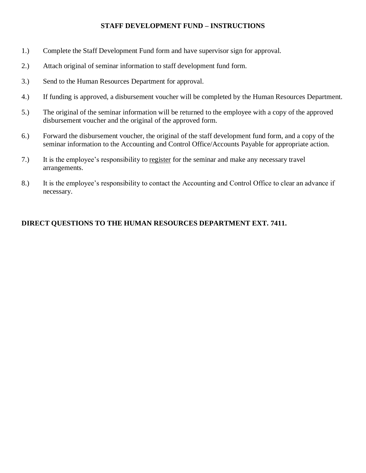## **STAFF DEVELOPMENT FUND – INSTRUCTIONS**

- 1.) Complete the Staff Development Fund form and have supervisor sign for approval.
- 2.) Attach original of seminar information to staff development fund form.
- 3.) Send to the Human Resources Department for approval.
- 4.) If funding is approved, a disbursement voucher will be completed by the Human Resources Department.
- 5.) The original of the seminar information will be returned to the employee with a copy of the approved disbursement voucher and the original of the approved form.
- 6.) Forward the disbursement voucher, the original of the staff development fund form, and a copy of the seminar information to the Accounting and Control Office/Accounts Payable for appropriate action.
- 7.) It is the employee's responsibility to register for the seminar and make any necessary travel arrangements.
- 8.) It is the employee's responsibility to contact the Accounting and Control Office to clear an advance if necessary.

## **DIRECT QUESTIONS TO THE HUMAN RESOURCES DEPARTMENT EXT. 7411.**